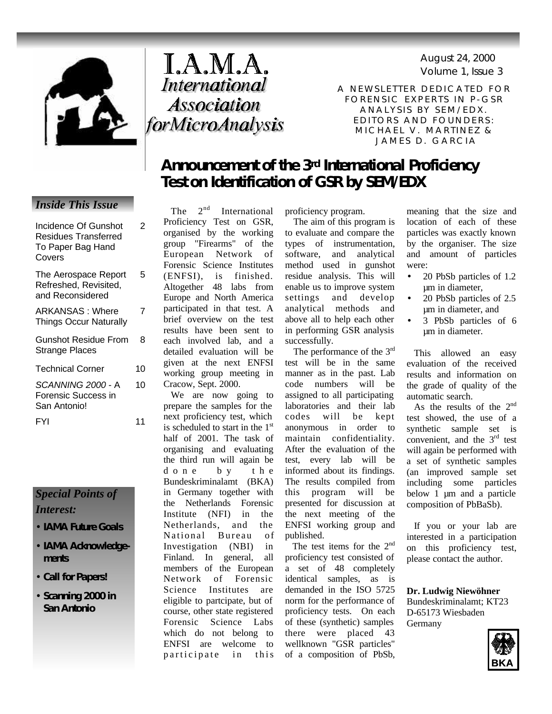

# I.A.M.A. International **Association** forMicroAnalysis

Volume 1, Issue 3 August 24, 2000

A NEWSLETTER DEDICATED FOR FORENSIC EXPERTS IN P-GSR ANALYSIS BY SEM/EDX. EDITORS AND FOUNDERS : MICHAEL V. MARTINEZ & JAMES D. GARCIA

## **Announcement of the 3rd International Proficiency Test on Identification of GSR by SEM/EDX**

The  $2^{nd}$  International Proficiency Test on GSR, organised by the working group "Firearms" of the European Network of Forensic Science Institutes (ENFSI), is finished. Altogether 48 labs from Europe and North America participated in that test. A brief overview on the test results have been sent to each involved lab, and a detailed evaluation will be given at the next ENFSI working group meeting in Cracow, Sept. 2000.

 We are now going to prepare the samples for the next proficiency test, which is scheduled to start in the 1<sup>st</sup> half of 2001. The task of organising and evaluating the third run will again be done by th e Bundeskriminalamt (BKA) in Germany together with the Netherlands Forensic Institute (NFI) in the Netherlands, and the National Bureau of Investigation (NBI) in Finland. In general, all members of the European Network of Forensic Science Institutes are eligible to partcipate, but of course, other state registered Forensic Science Labs which do not belong to ENFSI are welcome to participate in this

proficiency program.

 The aim of this program is to evaluate and compare the types of instrumentation, software, and analytical method used in gunshot residue analysis. This will enable us to improve system settings and develop analytical methods and above all to help each other in performing GSR analysis successfully.

The performance of the 3<sup>rd</sup> test will be in the same manner as in the past. Lab code numbers will be assigned to all participating laboratories and their lab codes will be kept anonymous in order to maintain confidentiality. After the evaluation of the test, every lab will be informed about its findings. The results compiled from this program will be presented for discussion at the next meeting of the ENFSI working group and published.

The test items for the 2<sup>nd</sup> proficiency test consisted of a set of 48 completely identical samples, as is demanded in the ISO 5725 norm for the performance of proficiency tests. On each of these (synthetic) samples there were placed 43 wellknown "GSR particles" of a composition of PbSb,

meaning that the size and location of each of these particles was exactly known by the organiser. The size and amount of particles were:

- 20 PbSb particles of 1.2 µm in diameter,
- 20 PbSb particles of 2.5 µm in diameter, and
- 3 PbSb particles of 6 µm in diameter.

 This allowed an easy evaluation of the received results and information on the grade of quality of the automatic search.

 As the results of the 2nd test showed, the use of a synthetic sample set is convenient, and the 3<sup>rd</sup> test will again be performed with a set of synthetic samples (an improved sample set including some particles below 1  $\mu$ m and a particle composition of PbBaSb).

 If you or your lab are interested in a participation on this proficiency test, please contact the author.

**Dr. Ludwig Niewöhner** Bundeskriminalamt; KT23 D-65173 Wiesbaden Germany



## *Inside This Issue*

Incidence Of Gunshot

 $\overline{2}$ 

| <b>Residues Transferred</b><br>To Paper Bag Hand<br>Covers        |    |
|-------------------------------------------------------------------|----|
| The Aerospace Report<br>Refreshed, Revisited,<br>and Reconsidered | 5  |
| ARKANSAS: Where<br><b>Things Occur Naturally</b>                  | 7  |
| <b>Gunshot Residue From</b><br><b>Strange Places</b>              | 8  |
| <b>Technical Corner</b>                                           | 10 |
| SCANNING 2000 - A<br>Forensic Success in<br>San Antonio!          | 10 |
| FYI                                                               | 11 |

### *Special Points of Interest:*

- **IAMA Future Goals**
- **IAMA Acknowledgements**
- **Call for Papers!**
- **Scanning 2000 in San Antonio**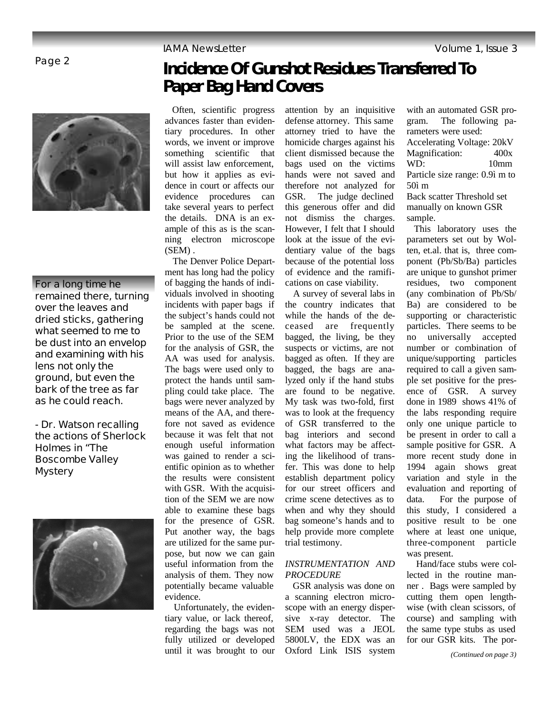Page 2



**For a long time he remained there, turning over the leaves and dried sticks, gathering what seemed to me to be dust into an envelop and examining with his lens not only the ground, but even the bark of the tree as far as he could reach.**

*- Dr. Watson recalling the actions of Sherlock Holmes in "The Boscombe Valley Mystery*



# **Incidence Of Gunshot Residues Transferred To Paper Bag Hand Covers**

 Often, scientific progress advances faster than evidentiary procedures. In other words, we invent or improve something scientific that will assist law enforcement, but how it applies as evidence in court or affects our evidence procedures can take several years to perfect the details. DNA is an example of this as is the scanning electron microscope (SEM) .

 The Denver Police Department has long had the policy of bagging the hands of individuals involved in shooting incidents with paper bags if the subject's hands could not be sampled at the scene. Prior to the use of the SEM for the analysis of GSR, the AA was used for analysis. The bags were used only to protect the hands until sampling could take place. The bags were never analyzed by means of the AA, and therefore not saved as evidence because it was felt that not enough useful information was gained to render a scientific opinion as to whether the results were consistent with GSR. With the acquisition of the SEM we are now able to examine these bags for the presence of GSR. Put another way, the bags are utilized for the same purpose, but now we can gain useful information from the analysis of them. They now potentially became valuable evidence.

 Unfortunately, the evidentiary value, or lack thereof, regarding the bags was not fully utilized or developed until it was brought to our

attention by an inquisitive defense attorney. This same attorney tried to have the homicide charges against his client dismissed because the bags used on the victims hands were not saved and therefore not analyzed for GSR. The judge declined this generous offer and did not dismiss the charges. However, I felt that I should look at the issue of the evidentiary value of the bags because of the potential loss of evidence and the ramifications on case viability.

 A survey of several labs in the country indicates that while the hands of the deceased are frequently bagged, the living, be they suspects or victims, are not bagged as often. If they are bagged, the bags are analyzed only if the hand stubs are found to be negative. My task was two-fold, first was to look at the frequency of GSR transferred to the bag interiors and second what factors may be affecting the likelihood of transfer. This was done to help establish department policy for our street officers and crime scene detectives as to when and why they should bag someone's hands and to help provide more complete trial testimony.

### *INSTRUMENTATION AND PROCEDURE*

 GSR analysis was done on a scanning electron microscope with an energy dispersive x-ray detector. The SEM used was a JEOL 5800LV, the EDX was an Oxford Link ISIS system with an automated GSR program. The following parameters were used: Accelerating Voltage: 20kV Magnification: 400x WD: 10mm Particle size range: 0.9ì m to 50ì m Back scatter Threshold set manually on known GSR sample.

 This laboratory uses the parameters set out by Wolten, et.al. that is, three component (Pb/Sb/Ba) particles are unique to gunshot primer residues, two component (any combination of Pb/Sb/ Ba) are considered to be supporting or characteristic particles. There seems to be no universally accepted number or combination of unique/supporting particles required to call a given sample set positive for the presence of GSR. A survey done in 1989 shows 41% of the labs responding require only one unique particle to be present in order to call a sample positive for GSR. A more recent study done in 1994 again shows great variation and style in the evaluation and reporting of data. For the purpose of this study, I considered a positive result to be one where at least one unique, three-component particle was present.

 Hand/face stubs were collected in the routine manner . Bags were sampled by cutting them open lengthwise (with clean scissors, of course) and sampling with the same type stubs as used for our GSR kits. The por-

*(Continued on page 3)*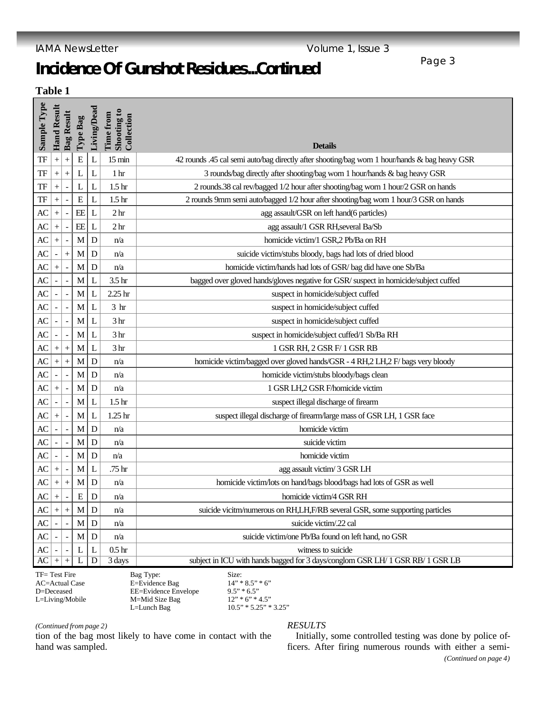# **Incidence Of Gunshot Residues***...Continued*

**Table 1**

| Sample Type |                                           | <b>Hand Result</b> | <b>Bag Result</b>        | Type Bag | Living/Dead    | Shooting to<br>Time from<br>Collection | <b>Details</b>                                                                                |
|-------------|-------------------------------------------|--------------------|--------------------------|----------|----------------|----------------------------------------|-----------------------------------------------------------------------------------------------|
| TF          |                                           | $+$                | $^{+}$                   | E        | $\mathbf L$    | $15 \text{ min}$                       | 42 rounds .45 cal semi auto/bag directly after shooting/bag worn 1 hour/hands & bag heavy GSR |
| TF          |                                           | $\ddot{}$          | $^{+}$                   | L        | L              | 1 <sub>hr</sub>                        | 3 rounds/bag directly after shooting/bag worn 1 hour/hands & bag heavy GSR                    |
| TF          |                                           | $^{+}$             | $\overline{a}$           | L        | L              | 1.5 <sub>hr</sub>                      | 2 rounds.38 cal rev/bagged 1/2 hour after shooting/bag worn 1 hour/2 GSR on hands             |
| TF          |                                           | $^{+}$             |                          | E        | L              | 1.5 <sub>hr</sub>                      | 2 rounds 9mm semi auto/bagged 1/2 hour after shooting/bag worn 1 hour/3 GSR on hands          |
| AC          |                                           | $+$                | $\blacksquare$           | EE       | $\mathbf L$    | 2 <sub>hr</sub>                        | agg assault/GSR on left hand(6 particles)                                                     |
| АC          |                                           | $\ddag$            |                          | EE       | $\mathbf{L}$   | 2 <sub>hr</sub>                        | agg assault/1 GSR RH, several Ba/Sb                                                           |
| AC          |                                           |                    |                          | M        | D              | n/a                                    | homicide victim/1 GSR,2 Pb/Ba on RH                                                           |
| AC          |                                           |                    | $^{+}$                   | M        | D              | n/a                                    | suicide victim/stubs bloody, bags had lots of dried blood                                     |
| AC          |                                           | $\ddot{}$          |                          | М        | D              | n/a                                    | homicide victim/hands had lots of GSR/bag did have one Sb/Ba                                  |
| AC          |                                           |                    |                          | M        | L              | 3.5 <sub>hr</sub>                      | bagged over gloved hands/gloves negative for GSR/ suspect in homicide/subject cuffed          |
| AC          |                                           |                    |                          | M        | L              | 2.25 <sub>hr</sub>                     | suspect in homicide/subject cuffed                                                            |
| AC          |                                           |                    |                          | M        | L              | 3 <sub>hr</sub>                        | suspect in homicide/subject cuffed                                                            |
| AC          |                                           |                    |                          | M        | L              | 3 <sub>hr</sub>                        | suspect in homicide/subject cuffed                                                            |
| AC          |                                           |                    |                          | M        | L              | 3 <sub>hr</sub>                        | suspect in homicide/subject cuffed/1 Sb/Ba RH                                                 |
| AC          |                                           | $^{+}$             | $^{+}$                   | M        | L              | 3 hr                                   | 1 GSR RH, 2 GSR F/ 1 GSR RB                                                                   |
| AC          |                                           | $\ddot{}$          | $\ddot{}$                | M        | D              | n/a                                    | homicide victim/bagged over gloved hands/GSR - 4 RH,2 LH,2 F/ bags very bloody                |
| AC          |                                           |                    | $\overline{\phantom{a}}$ | М        | $\mathbf D$    | n/a                                    | homicide victim/stubs bloody/bags clean                                                       |
| AC          |                                           | $\ddot{}$          |                          | M        | D              | n/a                                    | 1 GSR LH,2 GSR F/homicide victim                                                              |
| AC          |                                           |                    |                          | M        | L              | 1.5 <sub>hr</sub>                      | suspect illegal discharge of firearm                                                          |
| AC          |                                           | $\ddot{}$          | ÷,                       | M        | L              | 1.25 <sub>hr</sub>                     | suspect illegal discharge of firearm/large mass of GSR LH, 1 GSR face                         |
| AC          |                                           |                    |                          | M        | $\mathbf D$    | n/a                                    | homicide victim                                                                               |
| AC          |                                           |                    |                          | M        | D              | n/a                                    | suicide victim                                                                                |
| AC          |                                           |                    |                          | M        | D              | n/a                                    | homicide victim                                                                               |
| AC          |                                           | $\ddot{}$          |                          | M        | L              | .75 hr                                 | agg assault victim/ 3 GSR LH                                                                  |
| AC          |                                           | $\ddot{}$          | $^{+}$                   | M        | D              | n/a                                    | homicide victim/lots on hand/bags blood/bags had lots of GSR as well                          |
| AC          |                                           | $^{+}$             |                          | Ε        | D              | n/a                                    | homicide victim/4 GSR RH                                                                      |
| АC          |                                           | $\ddot{}$          | $+$                      | M        | D              | n/a                                    | suicide vicitm/numerous on RH,LH,F/RB several GSR, some supporting particles                  |
| AC          |                                           |                    |                          | M        | $\mathbf D$    | n/a                                    | suicide victim/.22 cal                                                                        |
| AC          |                                           |                    |                          | M        | D              | n/a                                    | suicide victim/one Pb/Ba found on left hand, no GSR                                           |
| AC          |                                           |                    |                          | L        | L              | 0.5 <sub>hr</sub>                      | witness to suicide                                                                            |
| AC          |                                           | $\qquad \qquad +$  | $^{+}$                   | L        | $\overline{D}$ | $\overline{3}$ days                    | subject in ICU with hands bagged for 3 days/conglom GSR LH/ 1 GSR RB/ 1 GSR LB                |
|             | $TL = T_{ext}E$<br>$D_{\text{max}}$ Tymes |                    |                          |          |                |                                        |                                                                                               |

TF= Test Fire AC=Actual Case D=Deceased L=Living/Mobile

Bag Type: Size:<br>E=Evidence Bag 14" \* 8.5" \* 6" E=Evidence Bag EE=Evidence Envelope M=Mid Size Bag<br>L=Lunch Bag

 $9.5" * 6.5"$ <br>  $12" * 6" * 4.5"$ <br>  $10.5" * 5.25" * 3.25"$ 

*(Continued from page 2)*

tion of the bag most likely to have come in contact with the hand was sampled.

### *RESULTS*

 Initially, some controlled testing was done by police officers. After firing numerous rounds with either a semi- *(Continued on page 4)*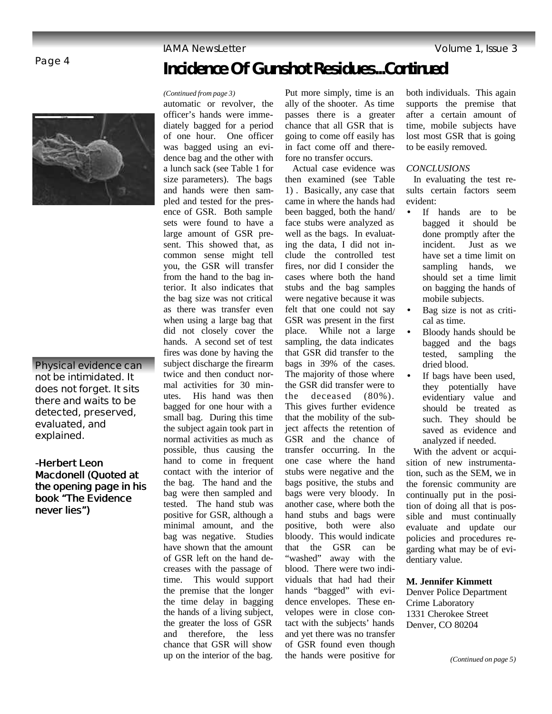Page 4



**Physical evidence can not be intimidated. It does not forget. It sits there and waits to be detected, preserved, evaluated, and explained.**

*-Herbert Leon Macdonell (Quoted at the opening page in his book "The Evidence never lies")*

# **Incidence Of Gunshot Residues***...Continued*

#### *(Continued from page 3)*

automatic or revolver, the officer's hands were immediately bagged for a period of one hour. One officer was bagged using an evidence bag and the other with a lunch sack (see Table 1 for size parameters). The bags and hands were then sampled and tested for the presence of GSR. Both sample sets were found to have a large amount of GSR present. This showed that, as common sense might tell you, the GSR will transfer from the hand to the bag interior. It also indicates that the bag size was not critical as there was transfer even when using a large bag that did not closely cover the hands. A second set of test fires was done by having the subject discharge the firearm twice and then conduct normal activities for 30 minutes. His hand was then bagged for one hour with a small bag. During this time the subject again took part in normal activities as much as possible, thus causing the hand to come in frequent contact with the interior of the bag. The hand and the bag were then sampled and tested. The hand stub was positive for GSR, although a minimal amount, and the bag was negative. Studies have shown that the amount of GSR left on the hand decreases with the passage of time. This would support the premise that the longer the time delay in bagging the hands of a living subject, the greater the loss of GSR and therefore, the less chance that GSR will show up on the interior of the bag.

Put more simply, time is an ally of the shooter. As time passes there is a greater chance that all GSR that is going to come off easily has in fact come off and therefore no transfer occurs.

 Actual case evidence was then examined (see Table 1) . Basically, any case that came in where the hands had been bagged, both the hand/ face stubs were analyzed as well as the bags. In evaluating the data, I did not include the controlled test fires, nor did I consider the cases where both the hand stubs and the bag samples were negative because it was felt that one could not say GSR was present in the first place. While not a large sampling, the data indicates that GSR did transfer to the bags in 39% of the cases. The majority of those where the GSR did transfer were to the deceased (80%). This gives further evidence that the mobility of the subject affects the retention of GSR and the chance of transfer occurring. In the one case where the hand stubs were negative and the bags positive, the stubs and bags were very bloody. In another case, where both the hand stubs and bags were positive, both were also bloody. This would indicate that the GSR can be "washed" away with the blood. There were two individuals that had had their hands "bagged" with evidence envelopes. These envelopes were in close contact with the subjects' hands and yet there was no transfer of GSR found even though the hands were positive for

both individuals. This again supports the premise that after a certain amount of time, mobile subjects have lost most GSR that is going to be easily removed.

### *CONCLUSIONS*

 In evaluating the test results certain factors seem evident:

- If hands are to be bagged it should be done promptly after the incident. Just as we have set a time limit on sampling hands, we should set a time limit on bagging the hands of mobile subjects.
- Bag size is not as critical as time.
- Bloody hands should be bagged and the bags tested, sampling the dried blood.
- If bags have been used, they potentially have evidentiary value and should be treated as such. They should be saved as evidence and analyzed if needed.

 With the advent or acquisition of new instrumentation, such as the SEM, we in the forensic community are continually put in the position of doing all that is possible and must continually evaluate and update our policies and procedures regarding what may be of evidentiary value.

**M. Jennifer Kimmett**

Denver Police Department Crime Laboratory 1331 Cherokee Street Denver, CO 80204

### **IAMA NewsLetter** Volume 1, Issue 3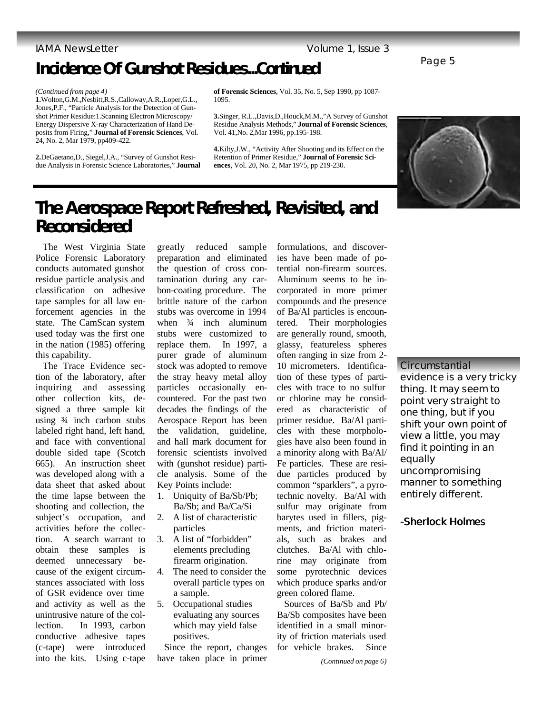# **Incidence Of Gunshot Residues***...Continued*

**1.**Wolton,G.M.,Nesbitt,R.S.,Calloway,A.R.,Loper,G.L., Jones,P.F., "Particle Analysis for the Detection of Gunshot Primer Residue:1.Scanning Electron Microscopy/ Energy Dispersive X-ray Characterization of Hand Deposits from Firing," **Journal of Forensic Sciences**, Vol. 24, No. 2, Mar 1979, pp409-422.

**2.**DeGaetano,D., Siegel,J.A., "Survey of Gunshot Residue Analysis in Forensic Science Laboratories," **Journal**  **of Forensic Sciences**, Vol. 35, No. 5, Sep 1990, pp 1087- 1095.

**3.**Singer, R.L.,Davis,D.,Houck,M.M.,"A Survey of Gunshot Residue Analysis Methods," **Journal of Forensic Sciences**, Vol. 41,No. 2,Mar 1996, pp.195-198.

**4.**Kilty,J.W., "Activity After Shooting and its Effect on the Retention of Primer Residue," **Journal of Forensic Sciences**, Vol. 20, No. 2, Mar 1975, pp 219-230.



## **The Aerospace Report Refreshed, Revisited, and Reconsidered**

 The West Virginia State Police Forensic Laboratory conducts automated gunshot residue particle analysis and classification on adhesive tape samples for all law enforcement agencies in the state. The CamScan system used today was the first one in the nation (1985) offering this capability.

 The Trace Evidence section of the laboratory, after inquiring and assessing other collection kits, designed a three sample kit using ¾ inch carbon stubs labeled right hand, left hand, and face with conventional double sided tape (Scotch 665). An instruction sheet was developed along with a data sheet that asked about the time lapse between the shooting and collection, the subject's occupation, and activities before the collection. A search warrant to obtain these samples is deemed unnecessary because of the exigent circumstances associated with loss of GSR evidence over time and activity as well as the unintrusive nature of the collection. In 1993, carbon conductive adhesive tapes (c-tape) were introduced into the kits. Using c-tape

greatly reduced sample preparation and eliminated the question of cross contamination during any carbon-coating procedure. The brittle nature of the carbon stubs was overcome in 1994 when  $\frac{3}{4}$  inch aluminum stubs were customized to replace them. In 1997, a purer grade of aluminum stock was adopted to remove the stray heavy metal alloy particles occasionally encountered. For the past two decades the findings of the Aerospace Report has been the validation, guideline, and hall mark document for forensic scientists involved with (gunshot residue) particle analysis. Some of the Key Points include:

- 1. Uniquity of Ba/Sb/Pb; Ba/Sb; and Ba/Ca/Si
- 2. A list of characteristic particles
- 3. A list of "forbidden" elements precluding firearm origination.
- 4. The need to consider the overall particle types on a sample.
- 5. Occupational studies evaluating any sources which may yield false positives.

 Since the report, changes have taken place in primer formulations, and discoveries have been made of potential non-firearm sources. Aluminum seems to be incorporated in more primer compounds and the presence of Ba/Al particles is encountered. Their morphologies are generally round, smooth, glassy, featureless spheres often ranging in size from 2- 10 micrometers. Identification of these types of particles with trace to no sulfur or chlorine may be considered as characteristic of primer residue. Ba/Al particles with these morphologies have also been found in a minority along with Ba/Al/ Fe particles. These are residue particles produced by common "sparklers", a pyrotechnic novelty. Ba/Al with sulfur may originate from barytes used in fillers, pigments, and friction materials, such as brakes and clutches. Ba/Al with chlorine may originate from some pyrotechnic devices which produce sparks and/or green colored flame.

 Sources of Ba/Sb and Pb/ Ba/Sb composites have been identified in a small minority of friction materials used for vehicle brakes. Since

**evidence is a very tricky thing. It may seem to point very straight to one thing, but if you shift your own point of view a little, you may find it pointing in an equally uncompromising** 

**Circumstantial** 

### **manner to something entirely different.**

### *-Sherlock Holmes*

*<sup>(</sup>Continued from page 4)*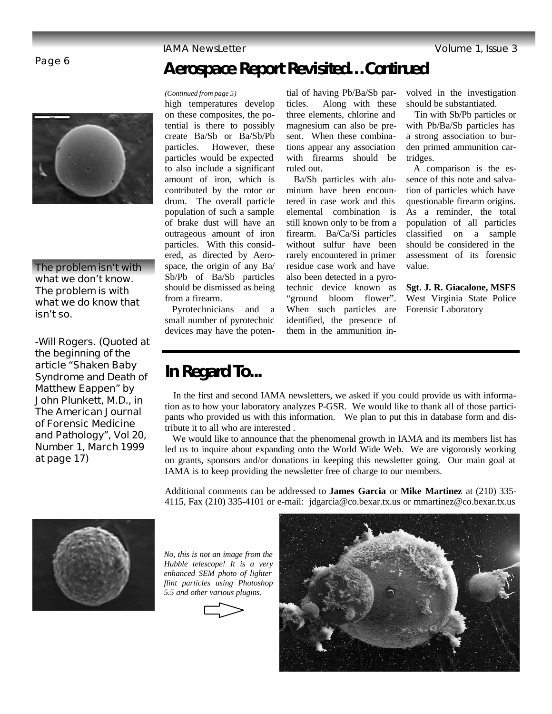### Page 6



**The problem isn't with what we don't know. The problem is with what we do know that isn't so.**

*-Will Rogers. (Quoted at the beginning of the article "Shaken Baby Syndrome and Death of Matthew Eappen" by John Plunkett, M.D., in The American Journal of Forensic Medicine and Pathology", Vol 20, Number 1, March 1999 at page 17)*

#### *(Continued from page 5)*

high temperatures develop on these composites, the potential is there to possibly create Ba/Sb or Ba/Sb/Pb particles. However, these particles would be expected to also include a significant amount of iron, which is contributed by the rotor or drum. The overall particle population of such a sample of brake dust will have an outrageous amount of iron particles. With this considered, as directed by Aerospace, the origin of any Ba/ Sb/Pb of Ba/Sb particles should be dismissed as being from a firearm.

 Pyrotechnicians and a small number of pyrotechnic devices may have the potential of having Pb/Ba/Sb particles. Along with these three elements, chlorine and magnesium can also be present. When these combinations appear any association with firearms should be ruled out.

**Aerospace Report Revisited***…Continued*

 Ba/Sb particles with aluminum have been encountered in case work and this elemental combination is still known only to be from a firearm. Ba/Ca/Si particles without sulfur have been rarely encountered in primer residue case work and have also been detected in a pyrotechnic device known as "ground bloom flower". When such particles are identified, the presence of them in the ammunition involved in the investigation should be substantiated.

 Tin with Sb/Pb particles or with Pb/Ba/Sb particles has a strong association to burden primed ammunition cartridges.

 A comparison is the essence of this note and salvation of particles which have questionable firearm origins. As a reminder, the total population of all particles classified on a sample should be considered in the assessment of its forensic value.

**Sgt. J. R. Giacalone, MSFS** West Virginia State Police Forensic Laboratory

## **In Regard To...**

 In the first and second IAMA newsletters, we asked if you could provide us with information as to how your laboratory analyzes P-GSR. We would like to thank all of those participants who provided us with this information. We plan to put this in database form and distribute it to all who are interested .

 We would like to announce that the phenomenal growth in IAMA and its members list has led us to inquire about expanding onto the World Wide Web. We are vigorously working on grants, sponsors and/or donations in keeping this newsletter going. Our main goal at IAMA is to keep providing the newsletter free of charge to our members.

Additional comments can be addressed to **James Garcia** or **Mike Martinez** at (210) 335- 4115, Fax (210) 335-4101 or e-mail: jdgarcia@co.bexar.tx.us or mmartinez@co.bexar.tx.us



*No, this is not an image from the Hubble telescope! It is a very enhanced SEM photo of lighter flint particles using Photoshop 5.5 and other various plugins.* 

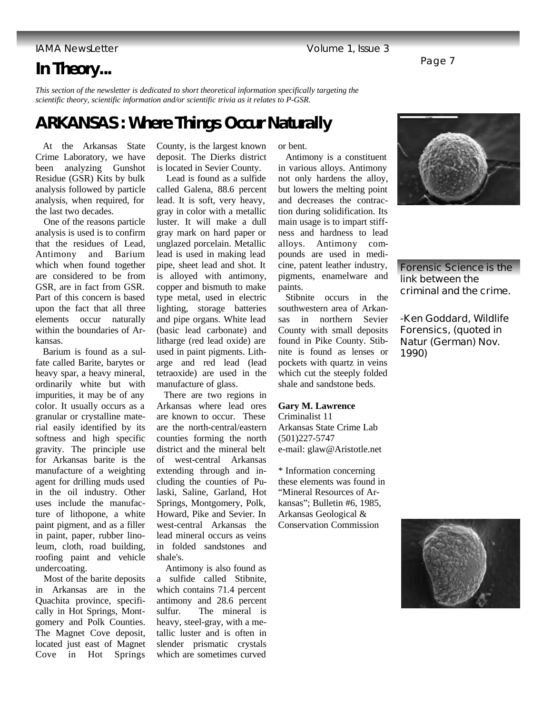# **In Theory...**

*This section of the newsletter is dedicated to short theoretical information specifically targeting the scientific theory, scientific information and/or scientific trivia as it relates to P-GSR.* 

# **ARKANSAS : Where Things Occur Naturally**

 At the Arkansas State Crime Laboratory, we have been analyzing Gunshot Residue (GSR) Kits by bulk analysis followed by particle analysis, when required, for the last two decades.

 One of the reasons particle analysis is used is to confirm that the residues of Lead, Antimony and Barium which when found together are considered to be from GSR, are in fact from GSR. Part of this concern is based upon the fact that all three elements occur naturally within the boundaries of Arkansas.

 Barium is found as a sulfate called Barite, barytes or heavy spar, a heavy mineral, ordinarily white but with impurities, it may be of any color. It usually occurs as a granular or crystalline material easily identified by its softness and high specific gravity. The principle use for Arkansas barite is the manufacture of a weighting agent for drilling muds used in the oil industry. Other uses include the manufacture of lithopone, a white paint pigment, and as a filler in paint, paper, rubber linoleum, cloth, road building, roofing paint and vehicle undercoating.

 Most of the barite deposits in Arkansas are in the Quachita province, specifically in Hot Springs, Montgomery and Polk Counties. The Magnet Cove deposit, located just east of Magnet Cove in Hot Springs County, is the largest known deposit. The Dierks district is located in Sevier County.

 Lead is found as a sulfide called Galena, 88.6 percent lead. It is soft, very heavy, gray in color with a metallic luster. It will make a dull gray mark on hard paper or unglazed porcelain. Metallic lead is used in making lead pipe, sheet lead and shot. It is alloyed with antimony, copper and bismuth to make type metal, used in electric lighting, storage batteries and pipe organs. White lead (basic lead carbonate) and litharge (red lead oxide) are used in paint pigments. Litharge and red lead (lead tetraoxide) are used in the manufacture of glass.

 There are two regions in Arkansas where lead ores are known to occur. These are the north-central/eastern counties forming the north district and the mineral belt of west-central Arkansas extending through and including the counties of Pulaski, Saline, Garland, Hot Springs, Montgomery, Polk, Howard, Pike and Sevier. In west-central Arkansas the lead mineral occurs as veins in folded sandstones and shale's.

 Antimony is also found as a sulfide called Stibnite, which contains 71.4 percent antimony and 28.6 percent sulfur. The mineral is heavy, steel-gray, with a metallic luster and is often in slender prismatic crystals which are sometimes curved

or bent.

 Antimony is a constituent in various alloys. Antimony not only hardens the alloy, but lowers the melting point and decreases the contraction during solidification. Its main usage is to impart stiffness and hardness to lead alloys. Antimony compounds are used in medicine, patent leather industry, pigments, enamelware and paints.

 Stibnite occurs in the southwestern area of Arkansas in northern Sevier County with small deposits found in Pike County. Stibnite is found as lenses or pockets with quartz in veins which cut the steeply folded shale and sandstone beds.

#### **Gary M. Lawrence**

Criminalist 11 Arkansas State Crime Lab (501)227-5747 e-mail: glaw@Aristotle.net

\* Information concerning these elements was found in "Mineral Resources of Arkansas"; Bulletin #6, 1985, Arkansas Geological & Conservation Commission

**Forensic Science is the link between the** 

*-Ken Goddard, Wildlife Forensics, (quoted in Natur (German) Nov. 1990)*

**criminal and the crime.**



### IAMA NewsLetter Volume 1, Issue 3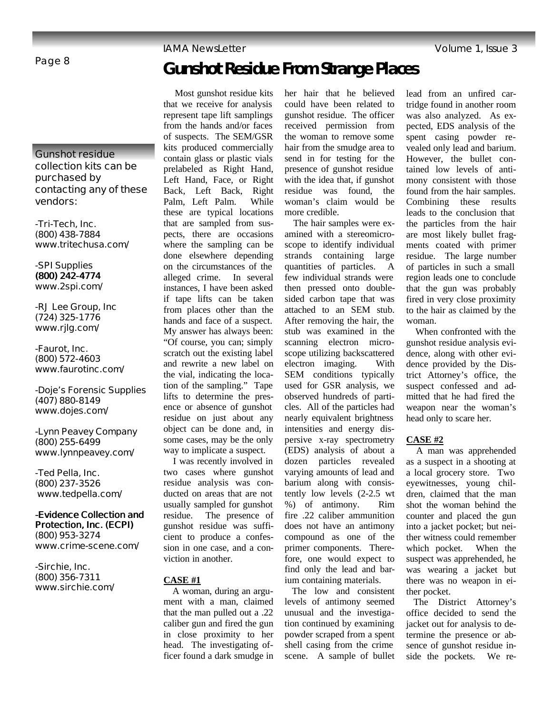# **Gunshot Residue From Strange Places**

**Gunshot residue collection kits can be purchased by contacting any of these vendors: -Tri-Tech, Inc.** 

**(800) 438-7884 www.tritechusa.com/**

**-SPI Supplies (800) 242-4774 www.2spi.com/**

**-RJ Lee Group, Inc (724) 325-1776 www.rjlg.com/**

**-Faurot, Inc. (800) 572-4603 www.faurotinc.com/**

**-Doje's Forensic Supplies (407) 880-8149 www.dojes.com/**

**-Lynn Peavey Company (800) 255-6499 www.lynnpeavey.com/** 

**-Ted Pella, Inc. (800) 237-3526 www.tedpella.com/**

**-Evidence Collection and Protection, Inc. (ECPI) (800) 953-3274 www.crime-scene.com/**

**-Sirchie, Inc. (800) 356-7311 www.sirchie.com/**

 Most gunshot residue kits that we receive for analysis represent tape lift samplings from the hands and/or faces of suspects. The SEM/GSR kits produced commercially contain glass or plastic vials prelabeled as Right Hand, Left Hand, Face, or Right Back, Left Back, Right Palm, Left Palm. While these are typical locations that are sampled from suspects, there are occasions where the sampling can be done elsewhere depending on the circumstances of the alleged crime. In several instances, I have been asked if tape lifts can be taken from places other than the hands and face of a suspect. My answer has always been: "Of course, you can; simply scratch out the existing label and rewrite a new label on the vial, indicating the location of the sampling." Tape lifts to determine the presence or absence of gunshot residue on just about any object can be done and, in some cases, may be the only way to implicate a suspect.

 I was recently involved in two cases where gunshot residue analysis was conducted on areas that are not usually sampled for gunshot residue. The presence of gunshot residue was sufficient to produce a confession in one case, and a conviction in another.

#### **CASE #1**

 A woman, during an argument with a man, claimed that the man pulled out a .22 caliber gun and fired the gun in close proximity to her head. The investigating officer found a dark smudge in her hair that he believed could have been related to gunshot residue. The officer received permission from the woman to remove some hair from the smudge area to send in for testing for the presence of gunshot residue with the idea that, if gunshot residue was found, the woman's claim would be more credible.

 The hair samples were examined with a stereomicroscope to identify individual strands containing large quantities of particles. A few individual strands were then pressed onto doublesided carbon tape that was attached to an SEM stub. After removing the hair, the stub was examined in the scanning electron microscope utilizing backscattered electron imaging. With SEM conditions typically used for GSR analysis, we observed hundreds of particles. All of the particles had nearly equivalent brightness intensities and energy dispersive x-ray spectrometry (EDS) analysis of about a dozen particles revealed varying amounts of lead and barium along with consistently low levels (2-2.5 wt %) of antimony. Rim fire .22 caliber ammunition does not have an antimony compound as one of the primer components. Therefore, one would expect to find only the lead and barium containing materials.

 The low and consistent levels of antimony seemed unusual and the investigation continued by examining powder scraped from a spent shell casing from the crime scene. A sample of bullet lead from an unfired cartridge found in another room was also analyzed. As expected, EDS analysis of the spent casing powder revealed only lead and barium. However, the bullet contained low levels of antimony consistent with those found from the hair samples. Combining these results leads to the conclusion that the particles from the hair are most likely bullet fragments coated with primer residue. The large number of particles in such a small region leads one to conclude that the gun was probably fired in very close proximity to the hair as claimed by the woman.

 When confronted with the gunshot residue analysis evidence, along with other evidence provided by the District Attorney's office, the suspect confessed and admitted that he had fired the weapon near the woman's head only to scare her.

### **CASE #2**

 A man was apprehended as a suspect in a shooting at a local grocery store. Two eyewitnesses, young children, claimed that the man shot the woman behind the counter and placed the gun into a jacket pocket; but neither witness could remember which pocket. When the suspect was apprehended, he was wearing a jacket but there was no weapon in either pocket.

 The District Attorney's office decided to send the jacket out for analysis to determine the presence or absence of gunshot residue inside the pockets. We re-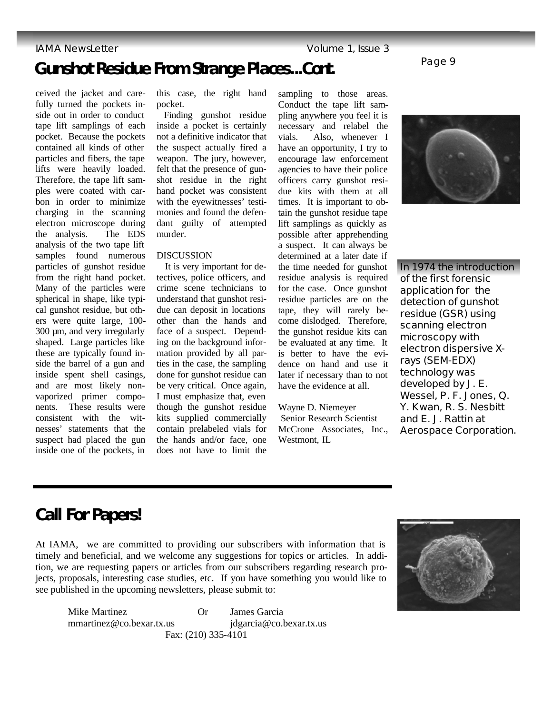## **Gunshot Residue From Strange Places...***Cont***.**

ceived the jacket and carefully turned the pockets inside out in order to conduct tape lift samplings of each pocket. Because the pockets contained all kinds of other particles and fibers, the tape lifts were heavily loaded. Therefore, the tape lift samples were coated with carbon in order to minimize charging in the scanning electron microscope during the analysis. The EDS analysis of the two tape lift samples found numerous particles of gunshot residue from the right hand pocket. Many of the particles were spherical in shape, like typical gunshot residue, but others were quite large, 100- 300 µm, and very irregularly shaped. Large particles like these are typically found inside the barrel of a gun and inside spent shell casings, and are most likely nonvaporized primer components. These results were consistent with the witnesses' statements that the suspect had placed the gun inside one of the pockets, in

this case, the right hand pocket.

 Finding gunshot residue inside a pocket is certainly not a definitive indicator that the suspect actually fired a weapon. The jury, however, felt that the presence of gunshot residue in the right hand pocket was consistent with the eyewitnesses' testimonies and found the defendant guilty of attempted murder.

#### DISCUSSION

 It is very important for detectives, police officers, and crime scene technicians to understand that gunshot residue can deposit in locations other than the hands and face of a suspect. Depending on the background information provided by all parties in the case, the sampling done for gunshot residue can be very critical. Once again, I must emphasize that, even though the gunshot residue kits supplied commercially contain prelabeled vials for the hands and/or face, one does not have to limit the

sampling to those areas. Conduct the tape lift sampling anywhere you feel it is necessary and relabel the vials. Also, whenever I have an opportunity, I try to encourage law enforcement agencies to have their police officers carry gunshot residue kits with them at all times. It is important to obtain the gunshot residue tape lift samplings as quickly as possible after apprehending a suspect. It can always be determined at a later date if the time needed for gunshot residue analysis is required for the case. Once gunshot residue particles are on the tape, they will rarely become dislodged. Therefore, the gunshot residue kits can be evaluated at any time. It is better to have the evidence on hand and use it later if necessary than to not have the evidence at all.

Wayne D. Niemeyer Senior Research Scientist McCrone Associates, Inc., Westmont, IL



Page 9

**In 1974 the introduction of the first forensic application for the detection of gunshot residue (GSR) using scanning electron microscopy with electron dispersive Xrays (SEM-EDX) technology was developed by J. E. Wessel, P. F. Jones, Q. Y. Kwan, R. S. Nesbitt and E. J. Rattin at Aerospace Corporation.**

## **Call For Papers!**

At IAMA, we are committed to providing our subscribers with information that is timely and beneficial, and we welcome any suggestions for topics or articles. In addition, we are requesting papers or articles from our subscribers regarding research projects, proposals, interesting case studies, etc. If you have something you would like to see published in the upcoming newsletters, please submit to:

 Mike Martinez Or James Garcia mmartinez@co.bexar.tx.us jdgarcia@co.bexar.tx.us Fax: (210) 335-4101

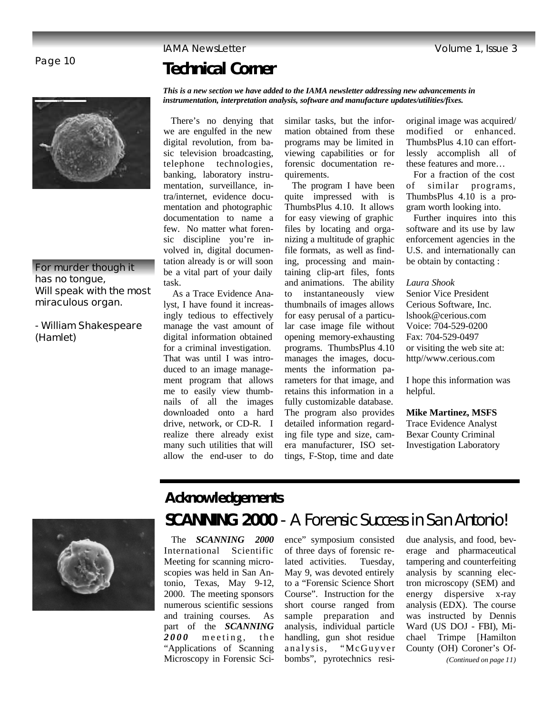## **Technical Corner**

### **For murder though it has no tongue, Will speak with the most miraculous organ.**

*- William Shakespeare (Hamlet)*

*This is a new section we have added to the IAMA newsletter addressing new advancements in instrumentation, interpretation analysis, software and manufacture updates/utilities/fixes.*

 There's no denying that we are engulfed in the new digital revolution, from basic television broadcasting, telephone technologies, banking, laboratory instrumentation, surveillance, intra/internet, evidence documentation and photographic documentation to name a few. No matter what forensic discipline you're involved in, digital documentation already is or will soon be a vital part of your daily task.

 As a Trace Evidence Analyst, I have found it increasingly tedious to effectively manage the vast amount of digital information obtained for a criminal investigation. That was until I was introduced to an image management program that allows me to easily view thumbnails of all the images downloaded onto a hard drive, network, or CD-R. I realize there already exist many such utilities that will allow the end-user to do

similar tasks, but the information obtained from these programs may be limited in viewing capabilities or for forensic documentation requirements.

 The program I have been quite impressed with is ThumbsPlus 4.10. It allows for easy viewing of graphic files by locating and organizing a multitude of graphic file formats, as well as finding, processing and maintaining clip-art files, fonts and animations. The ability to instantaneously view thumbnails of images allows for easy perusal of a particular case image file without opening memory-exhausting programs. ThumbsPlus 4.10 manages the images, documents the information parameters for that image, and retains this information in a fully customizable database. The program also provides detailed information regarding file type and size, camera manufacturer, ISO settings, F-Stop, time and date

original image was acquired/ modified or enhanced. ThumbsPlus 4.10 can effortlessly accomplish all of these features and more…

 For a fraction of the cost of similar programs, ThumbsPlus 4.10 is a program worth looking into.

 Further inquires into this software and its use by law enforcement agencies in the U.S. and internationally can be obtain by contacting :

*Laura Shook* Senior Vice President Cerious Software, Inc. lshook@cerious.com Voice: 704-529-0200 Fax: 704-529-0497 or visiting the web site at: http//www.cerious.com

I hope this information was helpful.

**Mike Martinez, MSFS** Trace Evidence Analyst

Bexar County Criminal Investigation Laboratory



# **Acknowledgements**

# *SCANNING 2000* - A Forensic Success in San Antonio!

 The *SCANNING 2000* International Scientific Meeting for scanning microscopies was held in San Antonio, Texas, May 9-12, 2000. The meeting sponsors numerous scientific sessions and training courses. As part of the *SCANNING*  2000 meeting, the "Applications of Scanning Microscopy in Forensic Sci-

ence" symposium consisted of three days of forensic related activities. Tuesday, May 9, was devoted entirely to a "Forensic Science Short Course". Instruction for the short course ranged from sample preparation and analysis, individual particle handling, gun shot residue analysis, "McGuyver bombs", pyrotechnics residue analysis, and food, beverage and pharmaceutical tampering and counterfeiting analysis by scanning electron microscopy (SEM) and energy dispersive x-ray analysis (EDX). The course was instructed by Dennis Ward (US DOJ - FBI), Michael Trimpe [Hamilton County (OH) Coroner's Of- *(Continued on page 11)*